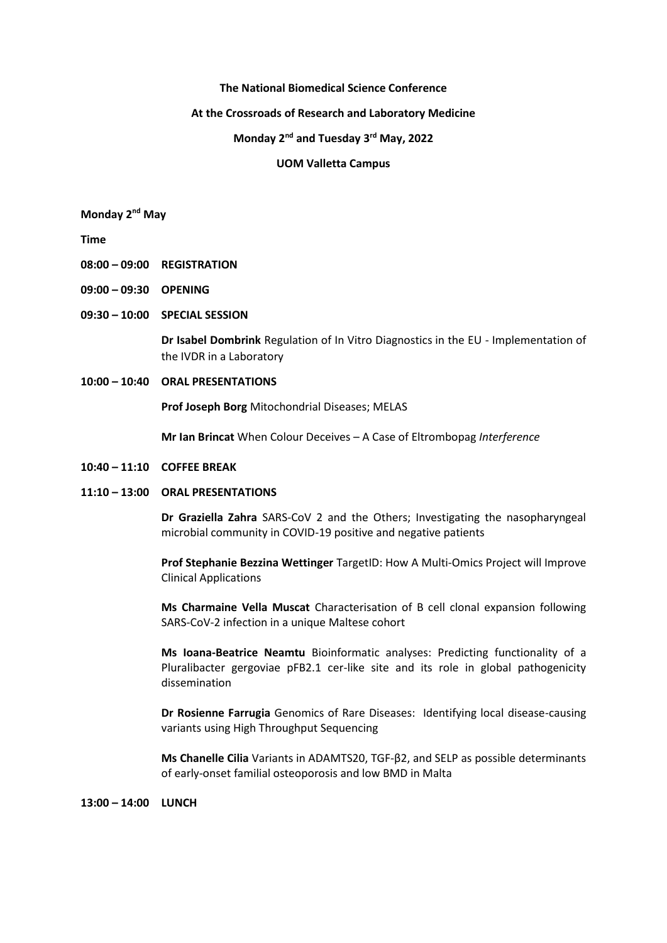#### **The National Biomedical Science Conference**

## **At the Crossroads of Research and Laboratory Medicine**

## **Monday 2nd and Tuesday 3rd May, 2022**

#### **UOM Valletta Campus**

# **Monday 2nd May**

**Time**

- **08:00 – 09:00 REGISTRATION**
- **09:00 – 09:30 OPENING**
- **09:30 – 10:00 SPECIAL SESSION**

**Dr Isabel Dombrink** Regulation of In Vitro Diagnostics in the EU - Implementation of the IVDR in a Laboratory

#### **10:00 – 10:40 ORAL PRESENTATIONS**

**Prof Joseph Borg** Mitochondrial Diseases; MELAS

**Mr Ian Brincat** When Colour Deceives – A Case of Eltrombopag *Interference*

#### **10:40 – 11:10 COFFEE BREAK**

#### **11:10 – 13:00 ORAL PRESENTATIONS**

**Dr Graziella Zahra** SARS-CoV 2 and the Others; Investigating the nasopharyngeal microbial community in COVID-19 positive and negative patients

**Prof Stephanie Bezzina Wettinger** TargetID: How A Multi-Omics Project will Improve Clinical Applications

**Ms Charmaine Vella Muscat** Characterisation of B cell clonal expansion following SARS-CoV-2 infection in a unique Maltese cohort

**Ms Ioana-Beatrice Neamtu** Bioinformatic analyses: Predicting functionality of a Pluralibacter gergoviae pFB2.1 cer-like site and its role in global pathogenicity dissemination

**Dr Rosienne Farrugia** Genomics of Rare Diseases: Identifying local disease-causing variants using High Throughput Sequencing

**Ms Chanelle Cilia** Variants in ADAMTS20, TGF-β2, and SELP as possible determinants of early-onset familial osteoporosis and low BMD in Malta

**13:00 – 14:00 LUNCH**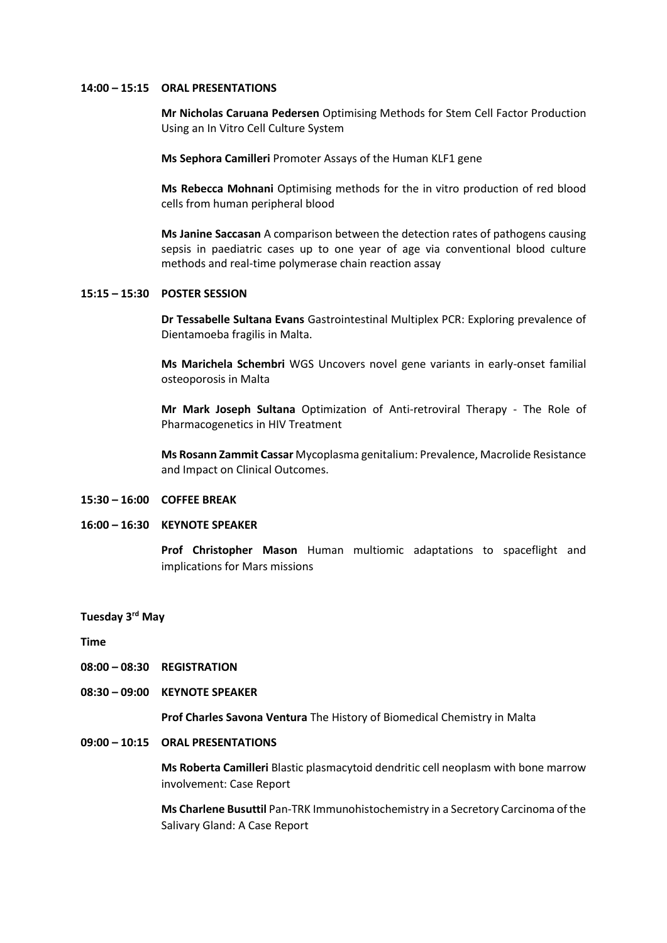#### **14:00 – 15:15 ORAL PRESENTATIONS**

**Mr Nicholas Caruana Pedersen** Optimising Methods for Stem Cell Factor Production Using an In Vitro Cell Culture System

**Ms Sephora Camilleri** Promoter Assays of the Human KLF1 gene

**Ms Rebecca Mohnani** Optimising methods for the in vitro production of red blood cells from human peripheral blood

**Ms Janine Saccasan** A comparison between the detection rates of pathogens causing sepsis in paediatric cases up to one year of age via conventional blood culture methods and real-time polymerase chain reaction assay

# **15:15 – 15:30 POSTER SESSION**

**Dr Tessabelle Sultana Evans** Gastrointestinal Multiplex PCR: Exploring prevalence of Dientamoeba fragilis in Malta.

**Ms Marichela Schembri** WGS Uncovers novel gene variants in early-onset familial osteoporosis in Malta

**Mr Mark Joseph Sultana** Optimization of Anti-retroviral Therapy - The Role of Pharmacogenetics in HIV Treatment

**Ms Rosann Zammit Cassar** Mycoplasma genitalium: Prevalence, Macrolide Resistance and Impact on Clinical Outcomes.

#### **15:30 – 16:00 COFFEE BREAK**

## **16:00 – 16:30 KEYNOTE SPEAKER**

**Prof Christopher Mason** Human multiomic adaptations to spaceflight and implications for Mars missions

# **Tuesday 3rd May**

**Time**

- **08:00 – 08:30 REGISTRATION**
- **08:30 – 09:00 KEYNOTE SPEAKER**

**Prof Charles Savona Ventura** The History of Biomedical Chemistry in Malta

## **09:00 – 10:15 ORAL PRESENTATIONS**

**Ms Roberta Camilleri** Blastic plasmacytoid dendritic cell neoplasm with bone marrow involvement: Case Report

**Ms Charlene Busuttil** Pan-TRK Immunohistochemistry in a Secretory Carcinoma of the Salivary Gland: A Case Report